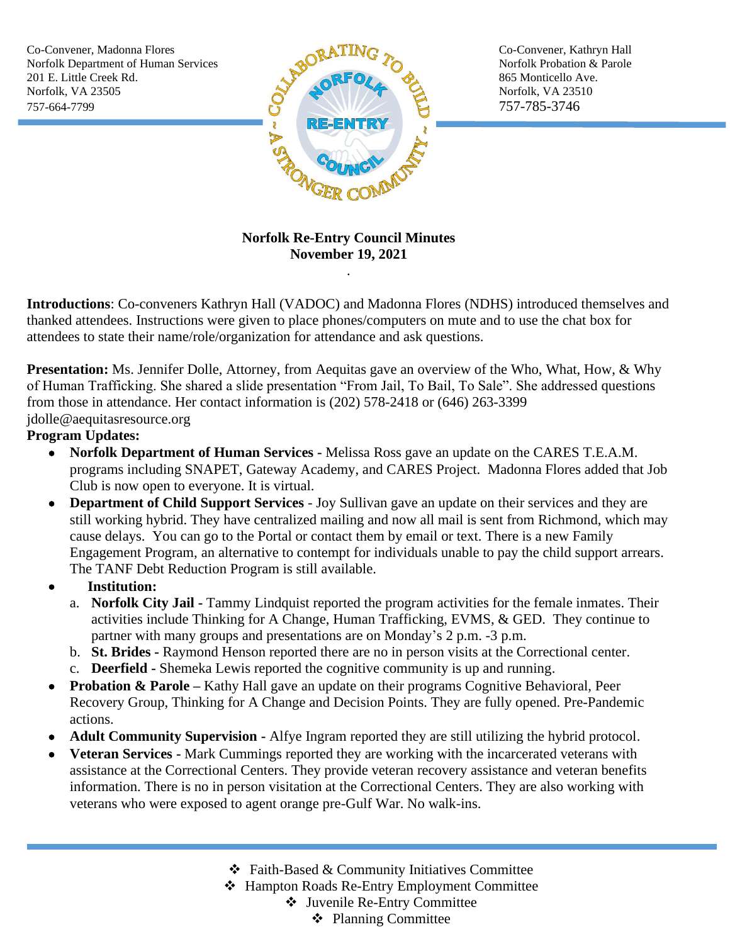Co-Convener, Madonna Flores Co-Convener, Kathryn Hall Norfolk Department of Human Services Norfolk Probation & Parole Norfolk, VA 23505  $\sim$  Norfolk, VA 23510 757-664-7799 757-785-3746



## **Norfolk Re-Entry Council Minutes November 19, 2021**

.

**Introductions**: Co-conveners Kathryn Hall (VADOC) and Madonna Flores (NDHS) introduced themselves and thanked attendees. Instructions were given to place phones/computers on mute and to use the chat box for attendees to state their name/role/organization for attendance and ask questions.

**Presentation:** Ms. Jennifer Dolle, Attorney, from Aequitas gave an overview of the Who, What, How, & Why of Human Trafficking. She shared a slide presentation "From Jail, To Bail, To Sale". She addressed questions from those in attendance. Her contact information is (202) 578-2418 or (646) 263-3399 jdolle@aequitasresource.org

## **Program Updates:**

- **Norfolk Department of Human Services -** Melissa Ross gave an update on the CARES T.E.A.M. programs including SNAPET, Gateway Academy, and CARES Project. Madonna Flores added that Job Club is now open to everyone. It is virtual.
- **Department of Child Support Services** Joy Sullivan gave an update on their services and they are still working hybrid. They have centralized mailing and now all mail is sent from Richmond, which may cause delays. You can go to the Portal or contact them by email or text. There is a new Family Engagement Program, an alternative to contempt for individuals unable to pay the child support arrears. The TANF Debt Reduction Program is still available.
- • **Institution:**
	- a. **Norfolk City Jail -** Tammy Lindquist reported the program activities for the female inmates. Their activities include Thinking for A Change, Human Trafficking, EVMS, & GED. They continue to partner with many groups and presentations are on Monday's 2 p.m. -3 p.m.
	- b. **St. Brides -** Raymond Henson reported there are no in person visits at the Correctional center.
	- c. **Deerfield -** Shemeka Lewis reported the cognitive community is up and running.
- **Probation & Parole –** Kathy Hall gave an update on their programs Cognitive Behavioral, Peer Recovery Group, Thinking for A Change and Decision Points. They are fully opened. Pre-Pandemic actions.
- **Adult Community Supervision -** Alfye Ingram reported they are still utilizing the hybrid protocol.
- **Veteran Services -** Mark Cummings reported they are working with the incarcerated veterans with assistance at the Correctional Centers. They provide veteran recovery assistance and veteran benefits information. There is no in person visitation at the Correctional Centers. They are also working with veterans who were exposed to agent orange pre-Gulf War. No walk-ins.
	- ❖ Faith-Based & Community Initiatives Committee
	- ❖ Hampton Roads Re-Entry Employment Committee
		- ❖ Juvenile Re-Entry Committee
			- ❖ Planning Committee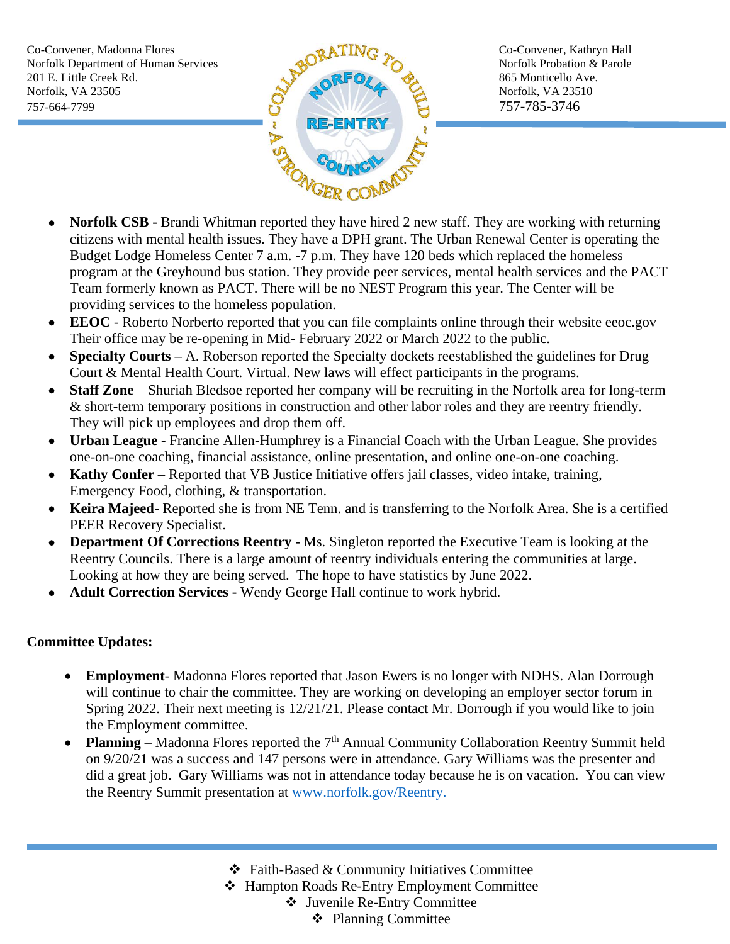Co-Convener, Madonna Flores Co-Convener, Kathryn Hall 201 E. Little Creek Rd. 865 Monticello Ave. Norfolk, VA 23505  $\sim$  Norfolk, VA 23510 757-664-7799 757-785-3746



- **Norfolk CSB -** Brandi Whitman reported they have hired 2 new staff. They are working with returning citizens with mental health issues. They have a DPH grant. The Urban Renewal Center is operating the Budget Lodge Homeless Center 7 a.m. -7 p.m. They have 120 beds which replaced the homeless program at the Greyhound bus station. They provide peer services, mental health services and the PACT Team formerly known as PACT. There will be no NEST Program this year. The Center will be providing services to the homeless population.
- **EEOC** Roberto Norberto reported that you can file complaints online through their website eeoc.gov Their office may be re-opening in Mid- February 2022 or March 2022 to the public.
- **Specialty Courts –** A. Roberson reported the Specialty dockets reestablished the guidelines for Drug Court & Mental Health Court. Virtual. New laws will effect participants in the programs.
- **Staff Zone** Shuriah Bledsoe reported her company will be recruiting in the Norfolk area for long-term & short-term temporary positions in construction and other labor roles and they are reentry friendly. They will pick up employees and drop them off.
- **Urban League -** Francine Allen-Humphrey is a Financial Coach with the Urban League. She provides one-on-one coaching, financial assistance, online presentation, and online one-on-one coaching.
- **Kathy Confer –** Reported that VB Justice Initiative offers jail classes, video intake, training, Emergency Food, clothing, & transportation.
- **Keira Majeed-** Reported she is from NE Tenn. and is transferring to the Norfolk Area. She is a certified PEER Recovery Specialist.
- **Department Of Corrections Reentry -** Ms. Singleton reported the Executive Team is looking at the Reentry Councils. There is a large amount of reentry individuals entering the communities at large. Looking at how they are being served. The hope to have statistics by June 2022.
- **Adult Correction Services -** Wendy George Hall continue to work hybrid.

## **Committee Updates:**

- **Employment** Madonna Flores reported that Jason Ewers is no longer with NDHS. Alan Dorrough will continue to chair the committee. They are working on developing an employer sector forum in Spring 2022. Their next meeting is 12/21/21. Please contact Mr. Dorrough if you would like to join the Employment committee.
- **Planning** Madonna Flores reported the 7<sup>th</sup> Annual Community Collaboration Reentry Summit held on 9/20/21 was a success and 147 persons were in attendance. Gary Williams was the presenter and did a great job. Gary Williams was not in attendance today because he is on vacation. You can view the Reentry Summit presentation at [www.norfolk.gov/Reentry.](http://www.norfolk.gov/Reentry)

❖ Faith-Based & Community Initiatives Committee

❖ Hampton Roads Re-Entry Employment Committee

❖ Juvenile Re-Entry Committee

❖ Planning Committee